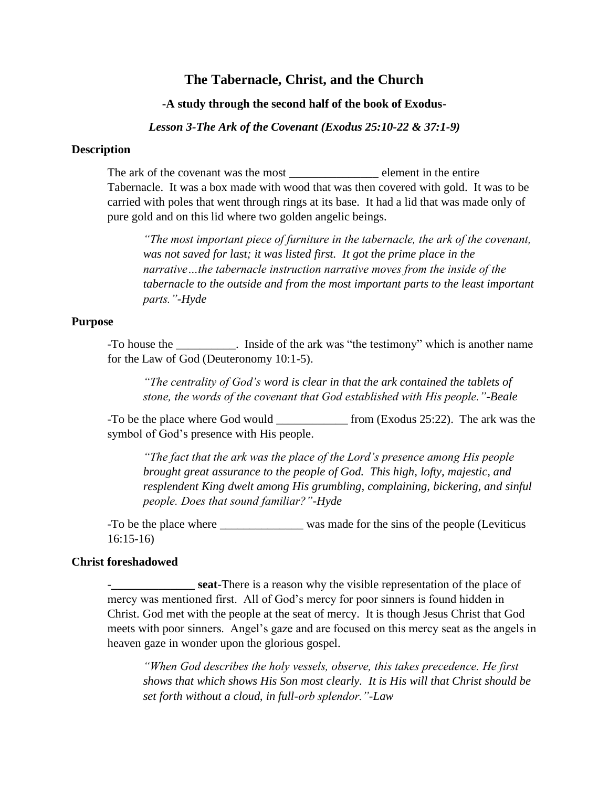# **The Tabernacle, Christ, and the Church**

## **-A study through the second half of the book of Exodus-**

*Lesson 3-The Ark of the Covenant (Exodus 25:10-22 & 37:1-9)*

## **Description**

The ark of the covenant was the most \_\_\_\_\_\_\_\_\_\_\_\_\_\_\_\_\_\_\_ element in the entire Tabernacle. It was a box made with wood that was then covered with gold. It was to be carried with poles that went through rings at its base. It had a lid that was made only of pure gold and on this lid where two golden angelic beings.

*"The most important piece of furniture in the tabernacle, the ark of the covenant, was not saved for last; it was listed first. It got the prime place in the narrative…the tabernacle instruction narrative moves from the inside of the tabernacle to the outside and from the most important parts to the least important parts."-Hyde*

# **Purpose**

-To house the \_\_\_\_\_\_\_\_\_\_. Inside of the ark was "the testimony" which is another name for the Law of God (Deuteronomy 10:1-5).

*"The centrality of God's word is clear in that the ark contained the tablets of stone, the words of the covenant that God established with His people."-Beale*

-To be the place where God would \_\_\_\_\_\_\_\_\_\_\_\_\_ from (Exodus 25:22). The ark was the symbol of God's presence with His people.

*"The fact that the ark was the place of the Lord's presence among His people brought great assurance to the people of God. This high, lofty, majestic, and resplendent King dwelt among His grumbling, complaining, bickering, and sinful people. Does that sound familiar?"-Hyde*

-To be the place where was made for the sins of the people (Leviticus 16:15-16)

#### **Christ foreshadowed**

**Example 1.1 Seat-There is a reason why the visible representation of the place of** mercy was mentioned first. All of God's mercy for poor sinners is found hidden in Christ. God met with the people at the seat of mercy. It is though Jesus Christ that God meets with poor sinners. Angel's gaze and are focused on this mercy seat as the angels in heaven gaze in wonder upon the glorious gospel.

*"When God describes the holy vessels, observe, this takes precedence. He first shows that which shows His Son most clearly. It is His will that Christ should be set forth without a cloud, in full-orb splendor."-Law*